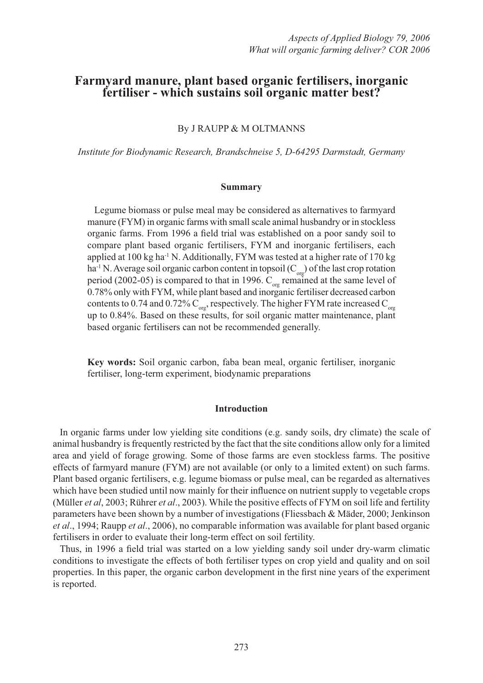# **Farmyard manure, plant based organic fertilisers, inorganic fertiliser - which sustains soil organic matter best?**

By J RAUPP & M OLTMANNS

*Institute for Biodynamic Research, Brandschneise 5, D-64295 Darmstadt, Germany*

## **Summary**

Legume biomass or pulse meal may be considered as alternatives to farmyard manure (FYM) in organic farms with small scale animal husbandry or in stockless organic farms. From 1996 a field trial was established on a poor sandy soil to compare plant based organic fertilisers, FYM and inorganic fertilisers, each applied at 100 kg ha<sup>-1</sup> N. Additionally, FYM was tested at a higher rate of 170 kg ha<sup>-1</sup> N. Average soil organic carbon content in topsoil ( $C_{\text{orp}}$ ) of the last crop rotation period (2002-05) is compared to that in 1996.  $C_{\text{org}}$  remained at the same level of 0.78% only with FYM, while plant based and inorganic fertiliser decreased carbon contents to 0.74 and 0.72%  $\text{C}_{\text{org}}$ , respectively. The higher FYM rate increased  $\text{C}_{\text{org}}$ up to 0.84%. Based on these results, for soil organic matter maintenance, plant based organic fertilisers can not be recommended generally.

**Key words:** Soil organic carbon, faba bean meal, organic fertiliser, inorganic fertiliser, long-term experiment, biodynamic preparations

#### **Introduction**

In organic farms under low yielding site conditions (e.g. sandy soils, dry climate) the scale of animal husbandry is frequently restricted by the fact that the site conditions allow only for a limited area and yield of forage growing. Some of those farms are even stockless farms. The positive effects of farmyard manure (FYM) are not available (or only to a limited extent) on such farms. Plant based organic fertilisers, e.g. legume biomass or pulse meal, can be regarded as alternatives which have been studied until now mainly for their influence on nutrient supply to vegetable crops (Müller *et al*, 2003; Rührer *et al*., 2003). While the positive effects of FYM on soil life and fertility parameters have been shown by a number of investigations (Fliessbach & Mäder, 2000; Jenkinson *et al*., 1994; Raupp *et al*., 2006), no comparable information was available for plant based organic fertilisers in order to evaluate their long-term effect on soil fertility.

Thus, in 1996 a field trial was started on a low yielding sandy soil under dry-warm climatic conditions to investigate the effects of both fertiliser types on crop yield and quality and on soil properties. In this paper, the organic carbon development in the first nine years of the experiment is reported.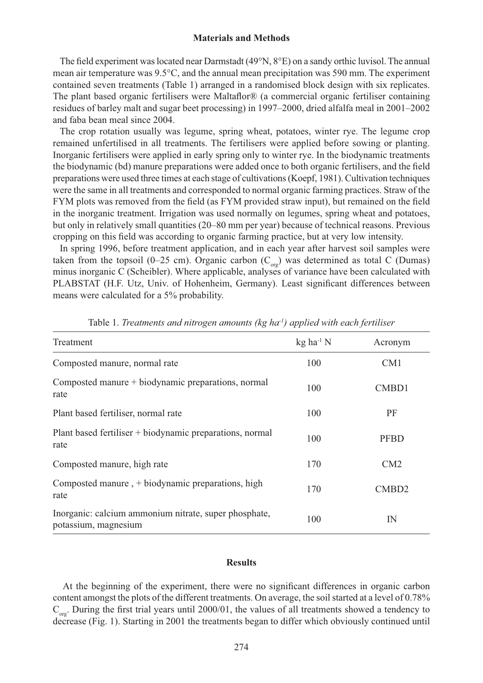#### **Materials and Methods**

The field experiment was located near Darmstadt (49 $\degree$ N,  $8\degree$ E) on a sandy orthic luvisol. The annual mean air temperature was 9.5°C, and the annual mean precipitation was 590 mm. The experiment contained seven treatments (Table 1) arranged in a randomised block design with six replicates. The plant based organic fertilisers were Maltaflor $\mathcal{R}$  (a commercial organic fertiliser containing residues of barley malt and sugar beet processing) in 1997–2000, dried alfalfa meal in 2001–2002 and faba bean meal since 2004.

The crop rotation usually was legume, spring wheat, potatoes, winter rye. The legume crop remained unfertilised in all treatments. The fertilisers were applied before sowing or planting. Inorganic fertilisers were applied in early spring only to winter rye. In the biodynamic treatments the biodynamic (bd) manure preparations were added once to both organic fertilisers, and the field preparations were used three times at each stage of cultivations (Koepf, 1981). Cultivation techniques were the same in all treatments and corresponded to normal organic farming practices. Straw of the FYM plots was removed from the field (as FYM provided straw input), but remained on the field in the inorganic treatment. Irrigation was used normally on legumes, spring wheat and potatoes, but only in relatively small quantities (20–80 mm per year) because of technical reasons. Previous cropping on this field was according to organic farming practice, but at very low intensity.

In spring 1996, before treatment application, and in each year after harvest soil samples were taken from the topsoil (0–25 cm). Organic carbon ( $C_{\text{ore}}$ ) was determined as total C (Dumas) minus inorganic C (Scheibler). Where applicable, analyses of variance have been calculated with PLABSTAT (H.F. Utz, Univ. of Hohenheim, Germany). Least significant differences between means were calculated for a 5% probability.

| Treatment                                                                     | $kg$ ha <sup>-1</sup> N | Acronym           |
|-------------------------------------------------------------------------------|-------------------------|-------------------|
| Composted manure, normal rate                                                 | 100                     | CM <sub>1</sub>   |
| Composted manure + biodynamic preparations, normal<br>rate                    | 100                     | CMB <sub>D1</sub> |
| Plant based fertiliser, normal rate                                           | 100                     | PF                |
| Plant based fertiliser + biodynamic preparations, normal<br>rate              | 100                     | <b>PFBD</b>       |
| Composted manure, high rate                                                   | 170                     | CM2               |
| Composted manure, + biodynamic preparations, high<br>rate                     | 170                     | CMB <sub>D2</sub> |
| Inorganic: calcium ammonium nitrate, super phosphate,<br>potassium, magnesium | 100                     | IN                |

Table 1. *Treatments and nitrogen amounts (kg ha-1) applied with each fertiliser* 

## **Results**

At the beginning of the experiment, there were no significant differences in organic carbon content amongst the plots of the different treatments. On average, the soil started at a level of 0.78%  $C_{\text{org}}$ . During the first trial years until 2000/01, the values of all treatments showed a tendency to decrease (Fig. 1). Starting in 2001 the treatments began to differ which obviously continued until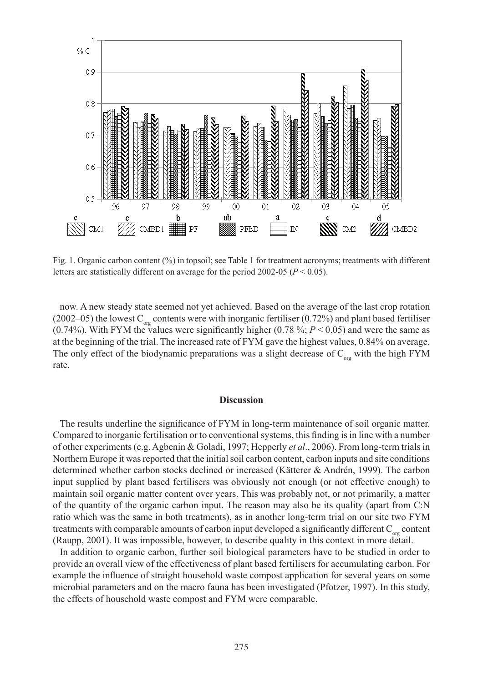

Fig. 1. Organic carbon content  $(\%)$  in topsoil; see Table 1 for treatment acronyms; treatments with different letters are statistically different on average for the period 2002-05 (*P* < 0.05).

now. A new steady state seemed not yet achieved. Based on the average of the last crop rotation (2002–05) the lowest  $C_{org}$  contents were with inorganic fertiliser (0.72%) and plant based fertiliser (0.74%). With FYM the values were significantly higher (0.78%;  $P < 0.05$ ) and were the same as at the beginning of the trial. The increased rate of FYM gave the highest values, 0.84% on average. The only effect of the biodynamic preparations was a slight decrease of  $C_{\text{or}}$  with the high FYM rate.

#### **Discussion**

The results underline the significance of FYM in long-term maintenance of soil organic matter. Compared to inorganic fertilisation or to conventional systems, this finding is in line with a number of other experiments (e.g. Agbenin & Goladi, 1997; Hepperly *et al*., 2006). From long-term trials in Northern Europe it was reported that the initial soil carbon content, carbon inputs and site conditions determined whether carbon stocks declined or increased (Kätterer & Andrén, 1999). The carbon input supplied by plant based fertilisers was obviously not enough (or not effective enough) to maintain soil organic matter content over years. This was probably not, or not primarily, a matter of the quantity of the organic carbon input. The reason may also be its quality (apart from C:N ratio which was the same in both treatments), as in another long-term trial on our site two FYM treatments with comparable amounts of carbon input developed a significantly different  $C_{\text{org}}$  content (Raupp, 2001). It was impossible, however, to describe quality in this context in more detail.

In addition to organic carbon, further soil biological parameters have to be studied in order to provide an overall view of the effectiveness of plant based fertilisers for accumulating carbon. For example the influence of straight household waste compost application for several years on some microbial parameters and on the macro fauna has been investigated (Pfotzer, 1997). In this study, the effects of household waste compost and FYM were comparable.